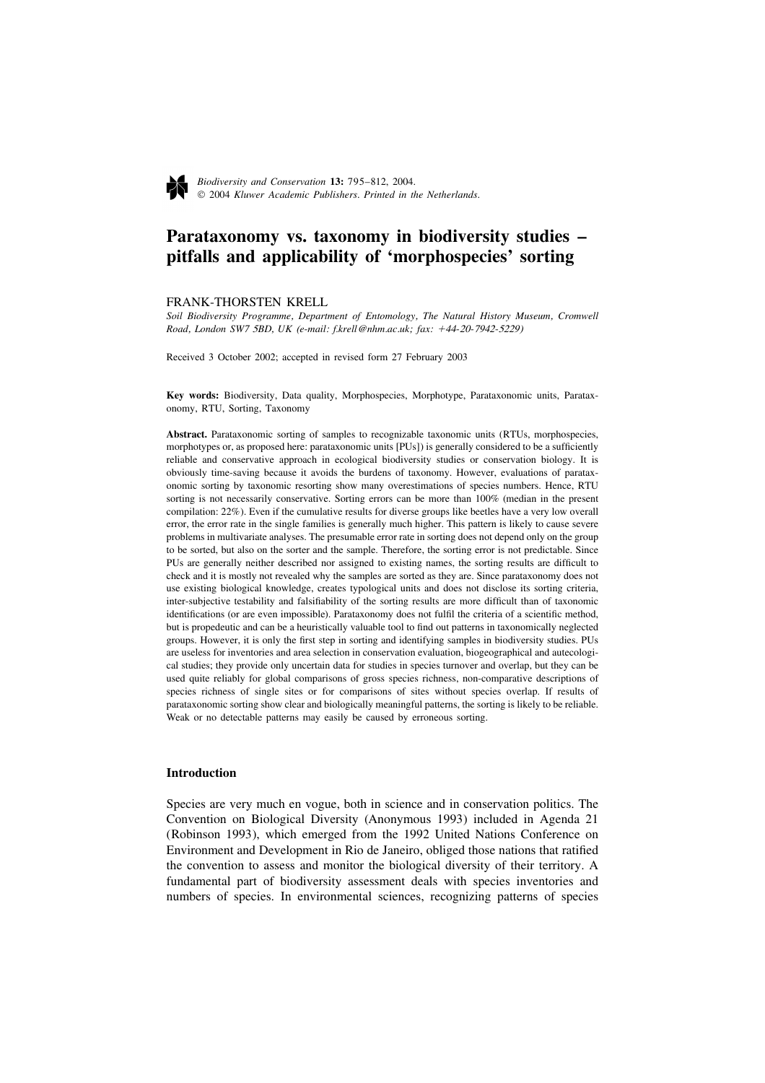

# **Parataxonomy vs. taxonomy in biodiversity studies – pitfalls and applicability of 'morphospecies' sorting**

#### FRANK-THORSTEN KRELL

*Soil Biodiversity Programme*, *Department of Entomology*, *The Natural History Museum*, *Cromwell Road*, *London SW*<sup>7</sup> <sup>5</sup>*BD*, *UK* (*e*-*mail*: *f*.*krell*@*nhm*.*ac*.*uk*; *fax*: <sup>1</sup><sup>44</sup>-20-7942-5229)

Received 3 October 2002; accepted in revised form 27 February 2003

**Key words:** Biodiversity, Data quality, Morphospecies, Morphotype, Parataxonomic units, Parataxonomy, RTU, Sorting, Taxonomy

**Abstract.** Parataxonomic sorting of samples to recognizable taxonomic units (RTUs, morphospecies, morphotypes or, as proposed here: parataxonomic units [PUs]) is generally considered to be a sufficiently reliable and conservative approach in ecological biodiversity studies or conservation biology. It is obviously time-saving because it avoids the burdens of taxonomy. However, evaluations of parataxonomic sorting by taxonomic resorting show many overestimations of species numbers. Hence, RTU sorting is not necessarily conservative. Sorting errors can be more than 100% (median in the present compilation: 22%). Even if the cumulative results for diverse groups like beetles have a very low overall error, the error rate in the single families is generally much higher. This pattern is likely to cause severe problems in multivariate analyses. The presumable error rate in sorting does not depend only on the group to be sorted, but also on the sorter and the sample. Therefore, the sorting error is not predictable. Since PUs are generally neither described nor assigned to existing names, the sorting results are difficult to check and it is mostly not revealed why the samples are sorted as they are. Since parataxonomy does not use existing biological knowledge, creates typological units and does not disclose its sorting criteria, inter-subjective testability and falsifiability of the sorting results are more difficult than of taxonomic identifications (or are even impossible). Parataxonomy does not fulfil the criteria of a scientific method, but is propedeutic and can be a heuristically valuable tool to find out patterns in taxonomically neglected groups. However, it is only the first step in sorting and identifying samples in biodiversity studies. PUs are useless for inventories and area selection in conservation evaluation, biogeographical and autecological studies; they provide only uncertain data for studies in species turnover and overlap, but they can be used quite reliably for global comparisons of gross species richness, non-comparative descriptions of species richness of single sites or for comparisons of sites without species overlap. If results of parataxonomic sorting show clear and biologically meaningful patterns, the sorting is likely to be reliable. Weak or no detectable patterns may easily be caused by erroneous sorting.

## **Introduction**

Species are very much en vogue, both in science and in conservation politics. The Convention on Biological Diversity (Anonymous 1993) included in Agenda 21 (Robinson 1993), which emerged from the 1992 United Nations Conference on Environment and Development in Rio de Janeiro, obliged those nations that ratified the convention to assess and monitor the biological diversity of their territory. A fundamental part of biodiversity assessment deals with species inventories and numbers of species. In environmental sciences, recognizing patterns of species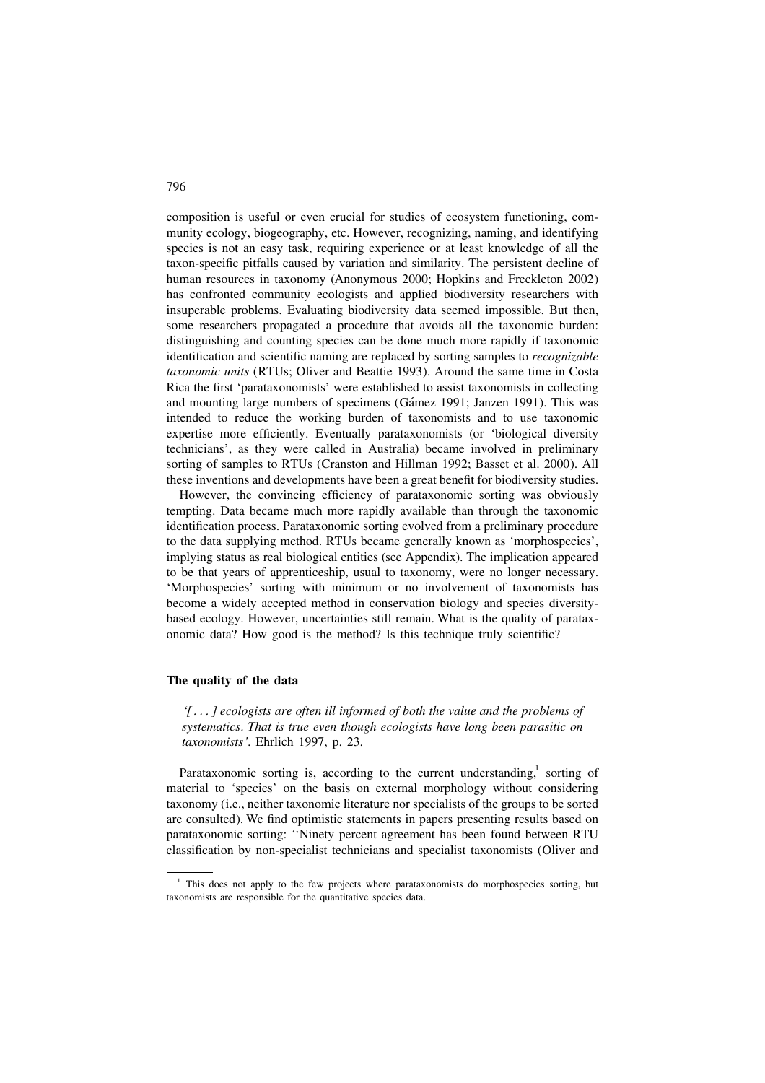composition is useful or even crucial for studies of ecosystem functioning, community ecology, biogeography, etc. However, recognizing, naming, and identifying species is not an easy task, requiring experience or at least knowledge of all the taxon-specific pitfalls caused by variation and similarity. The persistent decline of human resources in taxonomy (Anonymous 2000; Hopkins and Freckleton 2002) has confronted community ecologists and applied biodiversity researchers with insuperable problems. Evaluating biodiversity data seemed impossible. But then, some researchers propagated a procedure that avoids all the taxonomic burden: distinguishing and counting species can be done much more rapidly if taxonomic identification and scientific naming are replaced by sorting samples to *recognizable taxonomic units* (RTUs; Oliver and Beattie 1993). Around the same time in Costa Rica the first 'parataxonomists' were established to assist taxonomists in collecting and mounting large numbers of specimens (Gamez 1991; Janzen 1991). This was ´ intended to reduce the working burden of taxonomists and to use taxonomic expertise more efficiently. Eventually parataxonomists (or 'biological diversity technicians', as they were called in Australia) became involved in preliminary sorting of samples to RTUs (Cranston and Hillman 1992; Basset et al. 2000). All these inventions and developments have been a great benefit for biodiversity studies.

However, the convincing efficiency of parataxonomic sorting was obviously tempting. Data became much more rapidly available than through the taxonomic identification process. Parataxonomic sorting evolved from a preliminary procedure to the data supplying method. RTUs became generally known as 'morphospecies', implying status as real biological entities (see Appendix). The implication appeared to be that years of apprenticeship, usual to taxonomy, were no longer necessary. 'Morphospecies' sorting with minimum or no involvement of taxonomists has become a widely accepted method in conservation biology and species diversitybased ecology. However, uncertainties still remain. What is the quality of parataxonomic data? How good is the method? Is this technique truly scientific?

## **The quality of the data**

'[ . . . ] *ecologists are often ill informed of both the value and the problems of systematics*. *That is true even though ecologists have long been parasitic on taxonomists*'. Ehrlich 1997, p. 23.

Parataxonomic sorting is, according to the current understanding,<sup>1</sup> sorting of material to 'species' on the basis on external morphology without considering taxonomy (i.e., neither taxonomic literature nor specialists of the groups to be sorted are consulted). We find optimistic statements in papers presenting results based on parataxonomic sorting: ''Ninety percent agreement has been found between RTU classification by non-specialist technicians and specialist taxonomists (Oliver and

<sup>&</sup>lt;sup>1</sup> This does not apply to the few projects where parataxonomists do morphospecies sorting, but taxonomists are responsible for the quantitative species data.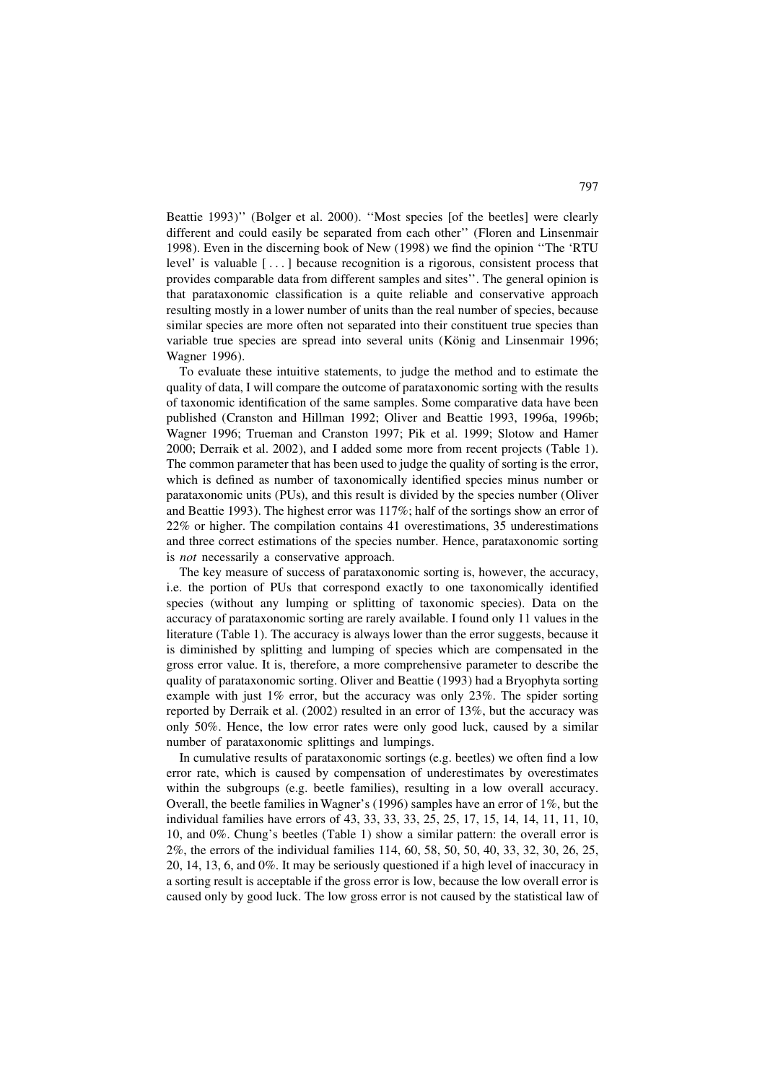Beattie 1993)'' (Bolger et al. 2000). ''Most species [of the beetles] were clearly different and could easily be separated from each other'' (Floren and Linsenmair 1998). Even in the discerning book of New (1998) we find the opinion ''The 'RTU level' is valuable [...] because recognition is a rigorous, consistent process that provides comparable data from different samples and sites''. The general opinion is that parataxonomic classification is a quite reliable and conservative approach resulting mostly in a lower number of units than the real number of species, because similar species are more often not separated into their constituent true species than variable true species are spread into several units (König and Linsenmair 1996; Wagner 1996).

To evaluate these intuitive statements, to judge the method and to estimate the quality of data, I will compare the outcome of parataxonomic sorting with the results of taxonomic identification of the same samples. Some comparative data have been published (Cranston and Hillman 1992; Oliver and Beattie 1993, 1996a, 1996b; Wagner 1996; Trueman and Cranston 1997; Pik et al. 1999; Slotow and Hamer 2000; Derraik et al. 2002), and I added some more from recent projects (Table 1). The common parameter that has been used to judge the quality of sorting is the error, which is defined as number of taxonomically identified species minus number or parataxonomic units (PUs), and this result is divided by the species number (Oliver and Beattie 1993). The highest error was 117%; half of the sortings show an error of 22% or higher. The compilation contains 41 overestimations, 35 underestimations and three correct estimations of the species number. Hence, parataxonomic sorting is *not* necessarily a conservative approach.

The key measure of success of parataxonomic sorting is, however, the accuracy, i.e. the portion of PUs that correspond exactly to one taxonomically identified species (without any lumping or splitting of taxonomic species). Data on the accuracy of parataxonomic sorting are rarely available. I found only 11 values in the literature (Table 1). The accuracy is always lower than the error suggests, because it is diminished by splitting and lumping of species which are compensated in the gross error value. It is, therefore, a more comprehensive parameter to describe the quality of parataxonomic sorting. Oliver and Beattie (1993) had a Bryophyta sorting example with just 1% error, but the accuracy was only 23%. The spider sorting reported by Derraik et al. (2002) resulted in an error of 13%, but the accuracy was only 50%. Hence, the low error rates were only good luck, caused by a similar number of parataxonomic splittings and lumpings.

In cumulative results of parataxonomic sortings (e.g. beetles) we often find a low error rate, which is caused by compensation of underestimates by overestimates within the subgroups (e.g. beetle families), resulting in a low overall accuracy. Overall, the beetle families in Wagner's (1996) samples have an error of 1%, but the individual families have errors of 43, 33, 33, 33, 25, 25, 17, 15, 14, 14, 11, 11, 10, 10, and 0%. Chung's beetles (Table 1) show a similar pattern: the overall error is 2%, the errors of the individual families 114, 60, 58, 50, 50, 40, 33, 32, 30, 26, 25, 20, 14, 13, 6, and 0%. It may be seriously questioned if a high level of inaccuracy in a sorting result is acceptable if the gross error is low, because the low overall error is caused only by good luck. The low gross error is not caused by the statistical law of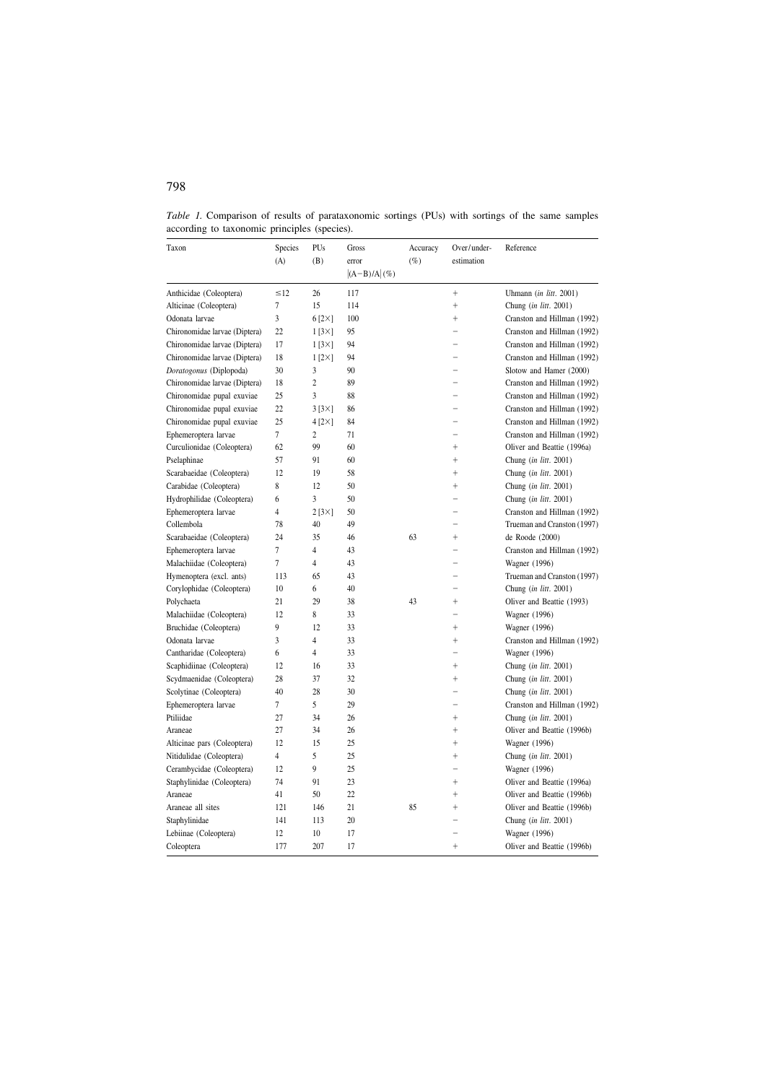*Table* 1. Comparison of results of parataxonomic sortings (PUs) with sortings of the same samples according to taxonomic principles (species).

| Taxon                         | Species<br>(A) | PUs<br>(B)     | Gross<br>error | Accuracy<br>$(\%)$ | Over/under-<br>estimation | Reference                   |
|-------------------------------|----------------|----------------|----------------|--------------------|---------------------------|-----------------------------|
|                               |                |                | $(A-B)/A$ (%)  |                    |                           |                             |
| Anthicidae (Coleoptera)       | $\leq 12$      | 26             | 117            |                    | $^{+}$                    | Uhmann (in litt. 2001)      |
| Alticinae (Coleoptera)        | 7              | 15             | 114            |                    | $^{+}$                    | Chung $(in$ $litt. 2001)$   |
| Odonata larvae                | 3              | $6[2\times]$   | 100            |                    | $^{+}$                    | Cranston and Hillman (1992) |
| Chironomidae larvae (Diptera) | 22             | $1[3\times]$   | 95             |                    | ÷,                        | Cranston and Hillman (1992) |
| Chironomidae larvae (Diptera) | 17             | $1[3\times]$   | 94             |                    |                           | Cranston and Hillman (1992) |
| Chironomidae larvae (Diptera) | 18             | $1[2\times]$   | 94             |                    |                           | Cranston and Hillman (1992) |
| Doratogonus (Diplopoda)       | 30             | 3              | 90             |                    |                           | Slotow and Hamer (2000)     |
| Chironomidae larvae (Diptera) | 18             | $\mathbf{2}$   | 89             |                    | $\equiv$                  | Cranston and Hillman (1992) |
| Chironomidae pupal exuviae    | 25             | 3              | 88             |                    |                           | Cranston and Hillman (1992) |
| Chironomidae pupal exuviae    | 22             | $3[3\times]$   | 86             |                    |                           | Cranston and Hillman (1992) |
| Chironomidae pupal exuviae    | 25             | $4 [2 \times]$ | 84             |                    | ۳                         | Cranston and Hillman (1992) |
| Ephemeroptera larvae          | $\overline{7}$ | $\overline{c}$ | 71             |                    | L.                        | Cranston and Hillman (1992) |
| Curculionidae (Coleoptera)    | 62             | 99             | 60             |                    | $^{+}$                    | Oliver and Beattie (1996a)  |
| Pselaphinae                   | 57             | 91             | 60             |                    | $^{+}$                    | Chung $(in$ $litt. 2001)$   |
| Scarabaeidae (Coleoptera)     | 12             | 19             | 58             |                    | $^{+}$                    | Chung (in litt. 2001)       |
| Carabidae (Coleoptera)        | 8              | 12             | 50             |                    | $^{+}$                    | Chung (in litt. 2001)       |
| Hydrophilidae (Coleoptera)    | 6              | 3              | 50             |                    | $\overline{\phantom{0}}$  | Chung (in litt. 2001)       |
| Ephemeroptera larvae          | $\overline{4}$ | $2[3\times]$   | 50             |                    | L.                        | Cranston and Hillman (1992) |
| Collembola                    | 78             | 40             | 49             |                    | L.                        | Trueman and Cranston (1997) |
| Scarabaeidae (Coleoptera)     | 24             | 35             | 46             | 63                 | $^{+}$                    | de Roode (2000)             |
| Ephemeroptera larvae          | $\overline{7}$ | $\overline{4}$ | 43             |                    |                           | Cranston and Hillman (1992) |
| Malachiidae (Coleoptera)      | $\tau$         | $\overline{4}$ | 43             |                    |                           | Wagner (1996)               |
| Hymenoptera (excl. ants)      | 113            | 65             | 43             |                    |                           | Trueman and Cranston (1997) |
| Corylophidae (Coleoptera)     | 10             | 6              | 40             |                    | $\overline{\phantom{0}}$  | Chung (in litt. 2001)       |
| Polychaeta                    | 21             | 29             | 38             | 43                 | $^{+}$                    | Oliver and Beattie (1993)   |
| Malachiidae (Coleoptera)      | 12             | 8              | 33             |                    | $\overline{a}$            | Wagner (1996)               |
| Bruchidae (Coleoptera)        | 9              | 12             | 33             |                    | $^{+}$                    | Wagner (1996)               |
| Odonata larvae                | 3              | $\overline{4}$ | 33             |                    | $^{+}$                    | Cranston and Hillman (1992) |
| Cantharidae (Coleoptera)      | 6              | $\overline{4}$ | 33             |                    |                           | Wagner (1996)               |
| Scaphidiinae (Coleoptera)     | 12             | 16             | 33             |                    | $^{+}$                    | Chung (in litt. 2001)       |
| Scydmaenidae (Coleoptera)     | 28             | 37             | 32             |                    | $^{+}$                    | Chung $(in$ $litt. 2001)$   |
| Scolytinae (Coleoptera)       | 40             | 28             | 30             |                    | $\overline{\phantom{0}}$  | Chung $(in\; lit. 2001)$    |
| Ephemeroptera larvae          | 7              | 5              | 29             |                    | $\overline{\phantom{0}}$  | Cranston and Hillman (1992) |
| Ptiliidae                     | 27             | 34             | 26             |                    | $^{+}$                    | Chung (in litt. 2001)       |
| Araneae                       | 27             | 34             | 26             |                    | $^{+}$                    | Oliver and Beattie (1996b)  |
| Alticinae pars (Coleoptera)   | 12             | 15             | 25             |                    | $^{+}$                    | Wagner (1996)               |
| Nitidulidae (Coleoptera)      | $\overline{4}$ | 5              | 25             |                    | $\ddot{}$                 | Chung (in litt. 2001)       |
| Cerambycidae (Coleoptera)     | 12             | 9              | 25             |                    | $\overline{\phantom{0}}$  | Wagner (1996)               |
| Staphylinidae (Coleoptera)    | 74             | 91             | 23             |                    | $^{+}$                    | Oliver and Beattie (1996a)  |
| Araneae                       | 41             | 50             | 22             |                    | $^{+}$                    | Oliver and Beattie (1996b)  |
| Araneae all sites             | 121            | 146            | 21             | 85                 | $^{+}$                    | Oliver and Beattie (1996b)  |
| Staphylinidae                 | 141            | 113            | 20             |                    | L.                        | Chung (in litt. 2001)       |
| Lebiinae (Coleoptera)         | 12             | 10             | 17             |                    | L.                        | Wagner (1996)               |
| Coleoptera                    | 177            | 207            | 17             |                    | $^{+}$                    | Oliver and Beattie (1996b)  |
|                               |                |                |                |                    |                           |                             |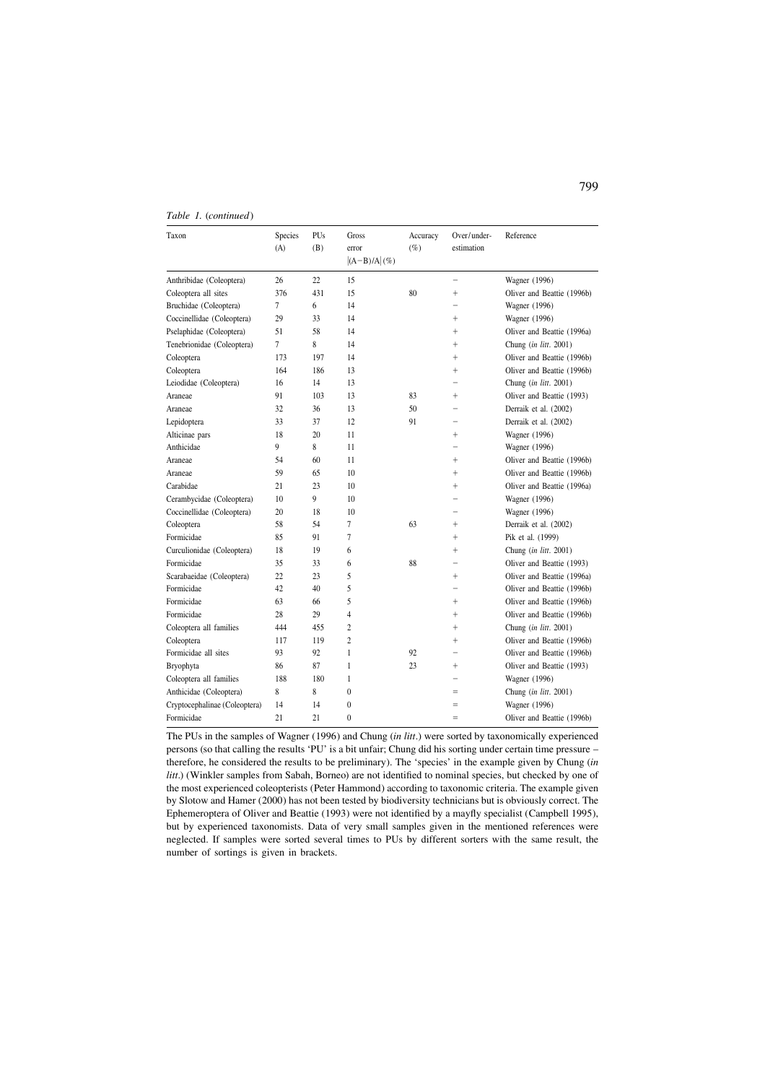*Table* 1. (*continued*)

| Taxon                         | Species<br>(A) | PUs<br>(B) | Gross<br>error<br>$  (A - B)/A   (\%)$ | Accuracy<br>$(\%)$ | Over/under-<br>estimation | Reference                  |
|-------------------------------|----------------|------------|----------------------------------------|--------------------|---------------------------|----------------------------|
| Anthribidae (Coleoptera)      | 26             | 22         | 15                                     |                    | -                         | Wagner (1996)              |
| Coleoptera all sites          | 376            | 431        | 15                                     | 80                 | $^{+}$                    | Oliver and Beattie (1996b) |
| Bruchidae (Coleoptera)        | 7              | 6          | 14                                     |                    | $\overline{\phantom{0}}$  | Wagner (1996)              |
| Coccinellidae (Coleoptera)    | 29             | 33         | 14                                     |                    | $^{+}$                    | Wagner (1996)              |
| Pselaphidae (Coleoptera)      | 51             | 58         | 14                                     |                    | $^{+}$                    | Oliver and Beattie (1996a) |
| Tenebrionidae (Coleoptera)    | $\overline{7}$ | 8          | 14                                     |                    | $^{+}$                    | Chung (in litt. 2001)      |
| Coleoptera                    | 173            | 197        | 14                                     |                    | $^{+}$                    | Oliver and Beattie (1996b) |
| Coleoptera                    | 164            | 186        | 13                                     |                    | $^{+}$                    | Oliver and Beattie (1996b) |
| Leiodidae (Coleoptera)        | 16             | 14         | 13                                     |                    | $\overline{\phantom{0}}$  | Chung (in litt. 2001)      |
| Araneae                       | 91             | 103        | 13                                     | 83                 | $^{+}$                    | Oliver and Beattie (1993)  |
| Araneae                       | 32             | 36         | 13                                     | 50                 | $\overline{\phantom{0}}$  | Derraik et al. (2002)      |
| Lepidoptera                   | 33             | 37         | 12                                     | 91                 | $\overline{\phantom{0}}$  | Derraik et al. (2002)      |
| Alticinae pars                | 18             | 20         | 11                                     |                    | $^{+}$                    | Wagner (1996)              |
| Anthicidae                    | 9              | 8          | 11                                     |                    | -                         | Wagner (1996)              |
| Araneae                       | 54             | 60         | 11                                     |                    | $^{+}$                    | Oliver and Beattie (1996b) |
| Araneae                       | 59             | 65         | 10                                     |                    | $^{+}$                    | Oliver and Beattie (1996b) |
| Carabidae                     | 21             | 23         | 10                                     |                    | $\ddot{}$                 | Oliver and Beattie (1996a) |
| Cerambycidae (Coleoptera)     | 10             | 9          | 10                                     |                    | $\overline{\phantom{0}}$  | Wagner (1996)              |
| Coccinellidae (Coleoptera)    | 20             | 18         | 10                                     |                    | -                         | Wagner (1996)              |
| Coleoptera                    | 58             | 54         | 7                                      | 63                 | $^{+}$                    | Derraik et al. (2002)      |
| Formicidae                    | 85             | 91         | 7                                      |                    | $^{+}$                    | Pik et al. (1999)          |
| Curculionidae (Coleoptera)    | 18             | 19         | 6                                      |                    | $^{+}$                    | Chung (in litt. 2001)      |
| Formicidae                    | 35             | 33         | 6                                      | 88                 | $\overline{\phantom{0}}$  | Oliver and Beattie (1993)  |
| Scarabaeidae (Coleoptera)     | 22             | 23         | 5                                      |                    | $^{+}$                    | Oliver and Beattie (1996a) |
| Formicidae                    | 42             | 40         | 5                                      |                    | $\overline{\phantom{0}}$  | Oliver and Beattie (1996b) |
| Formicidae                    | 63             | 66         | 5                                      |                    | $^{+}$                    | Oliver and Beattie (1996b) |
| Formicidae                    | 28             | 29         | 4                                      |                    | $^{+}$                    | Oliver and Beattie (1996b) |
| Coleoptera all families       | 444            | 455        | $\overline{c}$                         |                    | $^{+}$                    | Chung (in litt. 2001)      |
| Coleoptera                    | 117            | 119        | $\overline{c}$                         |                    | $^{+}$                    | Oliver and Beattie (1996b) |
| Formicidae all sites          | 93             | 92         | 1                                      | 92                 | $\overline{\phantom{0}}$  | Oliver and Beattie (1996b) |
| Bryophyta                     | 86             | 87         | 1                                      | 23                 | $^{+}$                    | Oliver and Beattie (1993)  |
| Coleoptera all families       | 188            | 180        | 1                                      |                    | $\overline{\phantom{0}}$  | Wagner (1996)              |
| Anthicidae (Coleoptera)       | 8              | 8          | $\overline{0}$                         |                    | $=$                       | Chung (in litt. 2001)      |
| Cryptocephalinae (Coleoptera) | 14             | 14         | $\overline{0}$                         |                    | $=$                       | Wagner (1996)              |
| Formicidae                    | 21             | 21         | $\overline{0}$                         |                    | $=$                       | Oliver and Beattie (1996b) |

The PUs in the samples of Wagner (1996) and Chung (*in litt*.) were sorted by taxonomically experienced persons (so that calling the results 'PU' is a bit unfair; Chung did his sorting under certain time pressure – therefore, he considered the results to be preliminary). The 'species' in the example given by Chung (*in litt*.) (Winkler samples from Sabah, Borneo) are not identified to nominal species, but checked by one of the most experienced coleopterists (Peter Hammond) according to taxonomic criteria. The example given by Slotow and Hamer (2000) has not been tested by biodiversity technicians but is obviously correct. The Ephemeroptera of Oliver and Beattie (1993) were not identified by a mayfly specialist (Campbell 1995), but by experienced taxonomists. Data of very small samples given in the mentioned references were neglected. If samples were sorted several times to PUs by different sorters with the same result, the number of sortings is given in brackets.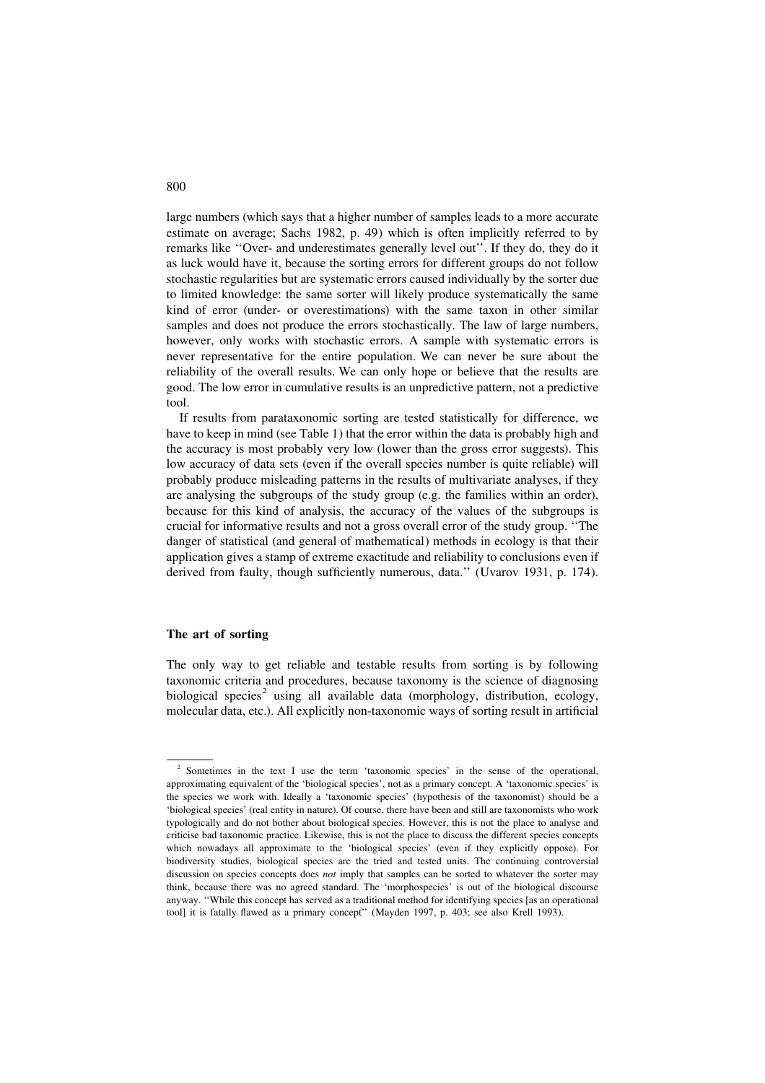large numbers (which says that a higher number of samples leads to a more accurate estimate on average; Sachs 1982, p. 49) which is often implicitly referred to by remarks like ''Over- and underestimates generally level out''. If they do, they do it as luck would have it, because the sorting errors for different groups do not follow stochastic regularities but are systematic errors caused individually by the sorter due to limited knowledge: the same sorter will likely produce systematically the same kind of error (under- or overestimations) with the same taxon in other similar samples and does not produce the errors stochastically. The law of large numbers, however, only works with stochastic errors. A sample with systematic errors is never representative for the entire population. We can never be sure about the reliability of the overall results. We can only hope or believe that the results are good. The low error in cumulative results is an unpredictive pattern, not a predictive tool.

If results from parataxonomic sorting are tested statistically for difference, we have to keep in mind (see Table 1) that the error within the data is probably high and the accuracy is most probably very low (lower than the gross error suggests). This low accuracy of data sets (even if the overall species number is quite reliable) will probably produce misleading patterns in the results of multivariate analyses, if they are analysing the subgroups of the study group (e.g. the families within an order), because for this kind of analysis, the accuracy of the values of the subgroups is crucial for informative results and not a gross overall error of the study group. ''The danger of statistical (and general of mathematical) methods in ecology is that their application gives a stamp of extreme exactitude and reliability to conclusions even if derived from faulty, though sufficiently numerous, data.'' (Uvarov 1931, p. 174).

### **The art of sorting**

The only way to get reliable and testable results from sorting is by following taxonomic criteria and procedures, because taxonomy is the science of diagnosing biological species<sup>2</sup> using all available data (morphology, distribution, ecology, molecular data, etc.). All explicitly non-taxonomic ways of sorting result in artificial

<sup>&</sup>lt;sup>2</sup> Sometimes in the text I use the term 'taxonomic species' in the sense of the operational, approximating equivalent of the 'biological species', not as a primary concept. A 'taxonomic species' is the species we work with. Ideally a 'taxonomic species' (hypothesis of the taxonomist) should be a 'biological species' (real entity in nature). Of course, there have been and still are taxonomists who work typologically and do not bother about biological species. However, this is not the place to analyse and criticise bad taxonomic practice. Likewise, this is not the place to discuss the different species concepts which nowadays all approximate to the 'biological species' (even if they explicitly oppose). For biodiversity studies, biological species are the tried and tested units. The continuing controversial discussion on species concepts does *not* imply that samples can be sorted to whatever the sorter may think, because there was no agreed standard. The 'morphospecies' is out of the biological discourse anyway. ''While this concept has served as a traditional method for identifying species [as an operational tool] it is fatally flawed as a primary concept'' (Mayden 1997, p. 403; see also Krell 1993).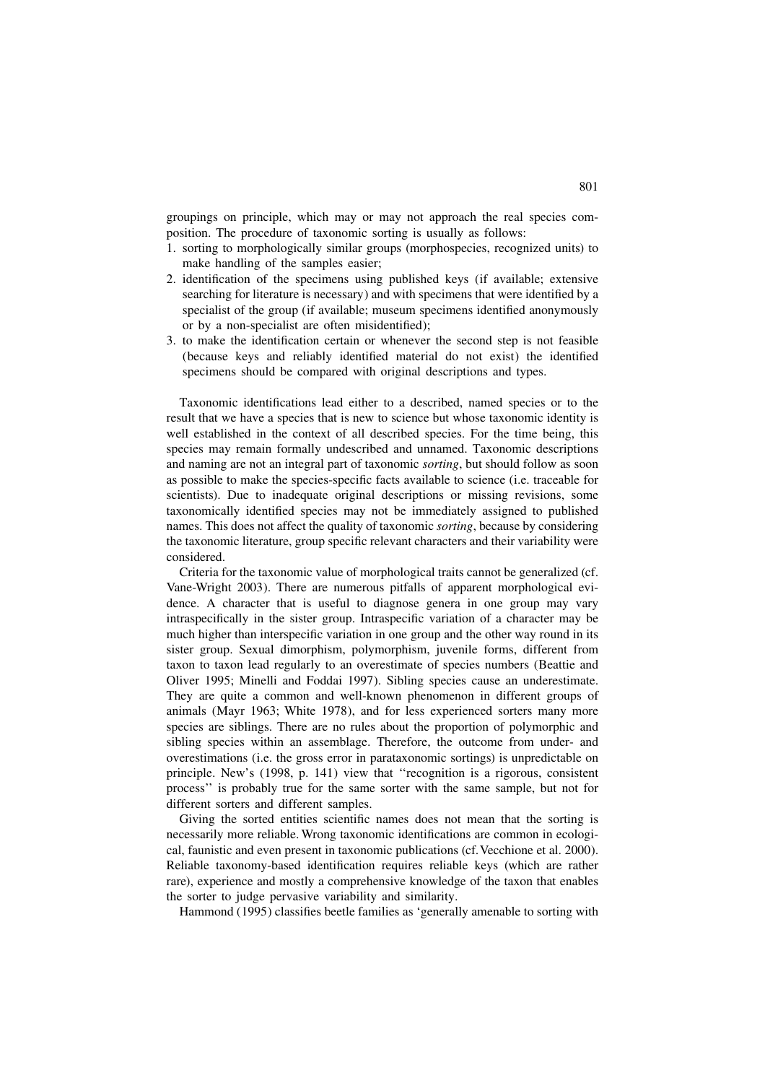groupings on principle, which may or may not approach the real species composition. The procedure of taxonomic sorting is usually as follows:

- 1. sorting to morphologically similar groups (morphospecies, recognized units) to make handling of the samples easier;
- 2. identification of the specimens using published keys (if available; extensive searching for literature is necessary) and with specimens that were identified by a specialist of the group (if available; museum specimens identified anonymously or by a non-specialist are often misidentified);
- 3. to make the identification certain or whenever the second step is not feasible (because keys and reliably identified material do not exist) the identified specimens should be compared with original descriptions and types.

Taxonomic identifications lead either to a described, named species or to the result that we have a species that is new to science but whose taxonomic identity is well established in the context of all described species. For the time being, this species may remain formally undescribed and unnamed. Taxonomic descriptions and naming are not an integral part of taxonomic *sorting*, but should follow as soon as possible to make the species-specific facts available to science (i.e. traceable for scientists). Due to inadequate original descriptions or missing revisions, some taxonomically identified species may not be immediately assigned to published names. This does not affect the quality of taxonomic *sorting*, because by considering the taxonomic literature, group specific relevant characters and their variability were considered.

Criteria for the taxonomic value of morphological traits cannot be generalized (cf. Vane-Wright 2003). There are numerous pitfalls of apparent morphological evidence. A character that is useful to diagnose genera in one group may vary intraspecifically in the sister group. Intraspecific variation of a character may be much higher than interspecific variation in one group and the other way round in its sister group. Sexual dimorphism, polymorphism, juvenile forms, different from taxon to taxon lead regularly to an overestimate of species numbers (Beattie and Oliver 1995; Minelli and Foddai 1997). Sibling species cause an underestimate. They are quite a common and well-known phenomenon in different groups of animals (Mayr 1963; White 1978), and for less experienced sorters many more species are siblings. There are no rules about the proportion of polymorphic and sibling species within an assemblage. Therefore, the outcome from under- and overestimations (i.e. the gross error in parataxonomic sortings) is unpredictable on principle. New's (1998, p. 141) view that ''recognition is a rigorous, consistent process'' is probably true for the same sorter with the same sample, but not for different sorters and different samples.

Giving the sorted entities scientific names does not mean that the sorting is necessarily more reliable. Wrong taxonomic identifications are common in ecological, faunistic and even present in taxonomic publications (cf.Vecchione et al. 2000). Reliable taxonomy-based identification requires reliable keys (which are rather rare), experience and mostly a comprehensive knowledge of the taxon that enables the sorter to judge pervasive variability and similarity.

Hammond (1995) classifies beetle families as 'generally amenable to sorting with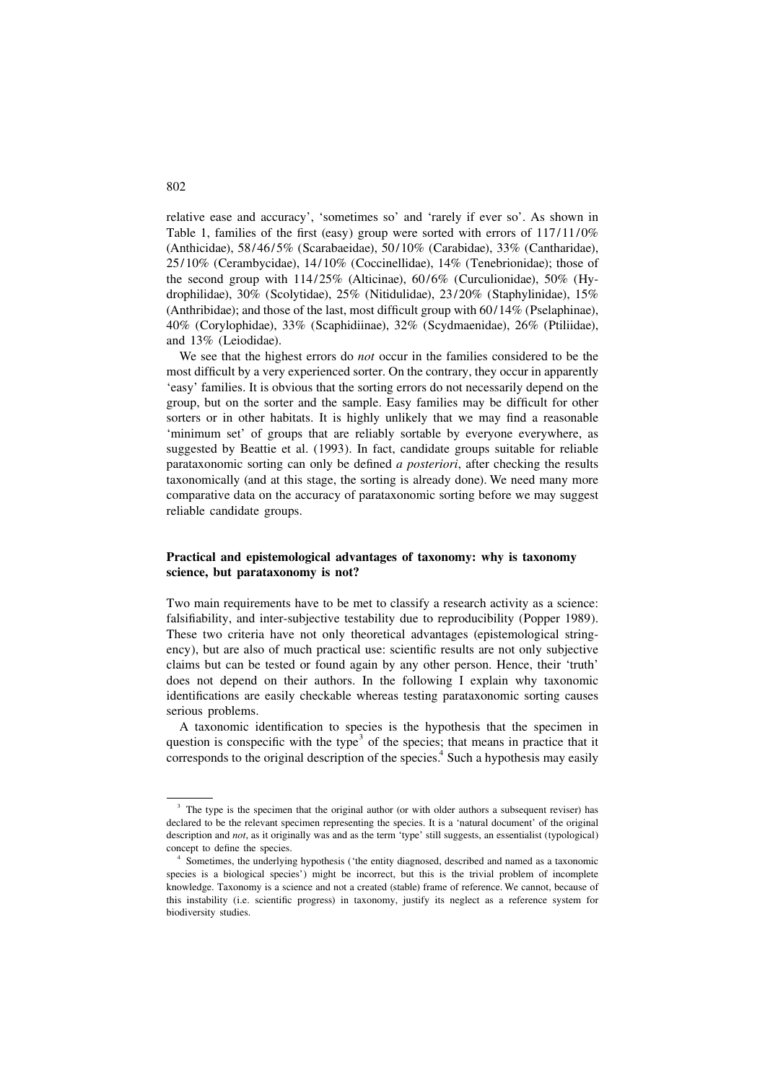relative ease and accuracy', 'sometimes so' and 'rarely if ever so'. As shown in Table 1, families of the first (easy) group were sorted with errors of 117/11/0% (Anthicidae), 58/46/5% (Scarabaeidae), 50/10% (Carabidae), 33% (Cantharidae), 25/10% (Cerambycidae), 14/10% (Coccinellidae), 14% (Tenebrionidae); those of the second group with 114/25% (Alticinae), 60/6% (Curculionidae), 50% (Hydrophilidae), 30% (Scolytidae), 25% (Nitidulidae), 23/20% (Staphylinidae), 15% (Anthribidae); and those of the last, most difficult group with 60/14% (Pselaphinae), 40% (Corylophidae), 33% (Scaphidiinae), 32% (Scydmaenidae), 26% (Ptiliidae), and 13% (Leiodidae).

We see that the highest errors do *not* occur in the families considered to be the most difficult by a very experienced sorter. On the contrary, they occur in apparently 'easy' families. It is obvious that the sorting errors do not necessarily depend on the group, but on the sorter and the sample. Easy families may be difficult for other sorters or in other habitats. It is highly unlikely that we may find a reasonable 'minimum set' of groups that are reliably sortable by everyone everywhere, as suggested by Beattie et al. (1993). In fact, candidate groups suitable for reliable parataxonomic sorting can only be defined *a posteriori*, after checking the results taxonomically (and at this stage, the sorting is already done). We need many more comparative data on the accuracy of parataxonomic sorting before we may suggest reliable candidate groups.

## **Practical and epistemological advantages of taxonomy: why is taxonomy science, but parataxonomy is not?**

Two main requirements have to be met to classify a research activity as a science: falsifiability, and inter-subjective testability due to reproducibility (Popper 1989). These two criteria have not only theoretical advantages (epistemological stringency), but are also of much practical use: scientific results are not only subjective claims but can be tested or found again by any other person. Hence, their 'truth' does not depend on their authors. In the following I explain why taxonomic identifications are easily checkable whereas testing parataxonomic sorting causes serious problems.

A taxonomic identification to species is the hypothesis that the specimen in question is conspecific with the type<sup>3</sup> of the species; that means in practice that it corresponds to the original description of the species.<sup></sup>

<sup>&</sup>lt;sup>3</sup> The type is the specimen that the original author (or with older authors a subsequent reviser) has declared to be the relevant specimen representing the species. It is a 'natural document' of the original description and *not*, as it originally was and as the term 'type' still suggests, an essentialist (typological) concept to define the species.

Sometimes, the underlying hypothesis ('the entity diagnosed, described and named as a taxonomic species is a biological species') might be incorrect, but this is the trivial problem of incomplete knowledge. Taxonomy is a science and not a created (stable) frame of reference. We cannot, because of this instability (i.e. scientific progress) in taxonomy, justify its neglect as a reference system for biodiversity studies.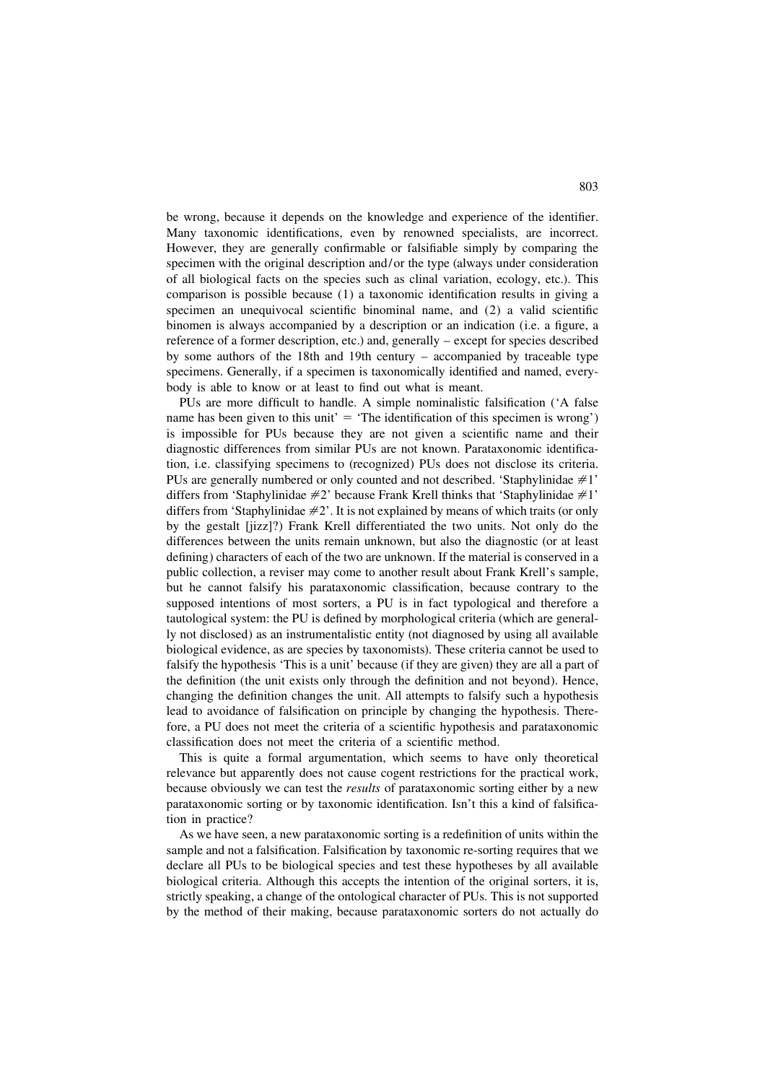be wrong, because it depends on the knowledge and experience of the identifier. Many taxonomic identifications, even by renowned specialists, are incorrect. However, they are generally confirmable or falsifiable simply by comparing the specimen with the original description and/or the type (always under consideration of all biological facts on the species such as clinal variation, ecology, etc.). This comparison is possible because (1) a taxonomic identification results in giving a specimen an unequivocal scientific binominal name, and (2) a valid scientific binomen is always accompanied by a description or an indication (i.e. a figure, a reference of a former description, etc.) and, generally – except for species described by some authors of the 18th and 19th century – accompanied by traceable type specimens. Generally, if a specimen is taxonomically identified and named, everybody is able to know or at least to find out what is meant.

PUs are more difficult to handle. A simple nominalistic falsification ('A false name has been given to this unit'  $=$  'The identification of this specimen is wrong') is impossible for PUs because they are not given a scientific name and their diagnostic differences from similar PUs are not known. Parataxonomic identification, i.e. classifying specimens to (recognized) PUs does not disclose its criteria. PUs are generally numbered or only counted and not described. 'Staphylinidae  $\#1'$ ' differs from 'Staphylinidae  $\#2$ ' because Frank Krell thinks that 'Staphylinidae  $\#1$ ' differs from 'Staphylinidae  $\#2$ '. It is not explained by means of which traits (or only by the gestalt [jizz]?) Frank Krell differentiated the two units. Not only do the differences between the units remain unknown, but also the diagnostic (or at least defining) characters of each of the two are unknown. If the material is conserved in a public collection, a reviser may come to another result about Frank Krell's sample, but he cannot falsify his parataxonomic classification, because contrary to the supposed intentions of most sorters, a PU is in fact typological and therefore a tautological system: the PU is defined by morphological criteria (which are generally not disclosed) as an instrumentalistic entity (not diagnosed by using all available biological evidence, as are species by taxonomists). These criteria cannot be used to falsify the hypothesis 'This is a unit' because (if they are given) they are all a part of the definition (the unit exists only through the definition and not beyond). Hence, changing the definition changes the unit. All attempts to falsify such a hypothesis lead to avoidance of falsification on principle by changing the hypothesis. Therefore, a PU does not meet the criteria of a scientific hypothesis and parataxonomic classification does not meet the criteria of a scientific method.

This is quite a formal argumentation, which seems to have only theoretical relevance but apparently does not cause cogent restrictions for the practical work, because obviously we can test the *results* of parataxonomic sorting either by a new parataxonomic sorting or by taxonomic identification. Isn't this a kind of falsification in practice?

As we have seen, a new parataxonomic sorting is a redefinition of units within the sample and not a falsification. Falsification by taxonomic re-sorting requires that we declare all PUs to be biological species and test these hypotheses by all available biological criteria. Although this accepts the intention of the original sorters, it is, strictly speaking, a change of the ontological character of PUs. This is not supported by the method of their making, because parataxonomic sorters do not actually do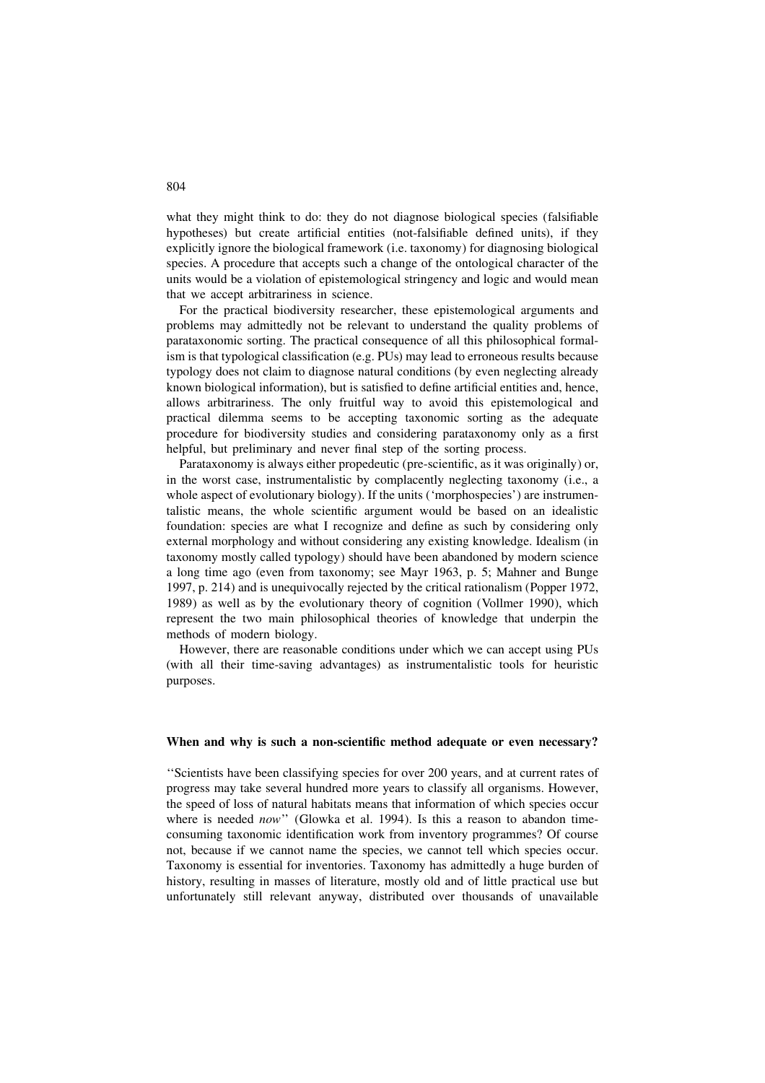what they might think to do: they do not diagnose biological species (falsifiable hypotheses) but create artificial entities (not-falsifiable defined units), if they explicitly ignore the biological framework (i.e. taxonomy) for diagnosing biological species. A procedure that accepts such a change of the ontological character of the units would be a violation of epistemological stringency and logic and would mean that we accept arbitrariness in science.

For the practical biodiversity researcher, these epistemological arguments and problems may admittedly not be relevant to understand the quality problems of parataxonomic sorting. The practical consequence of all this philosophical formalism is that typological classification (e.g. PUs) may lead to erroneous results because typology does not claim to diagnose natural conditions (by even neglecting already known biological information), but is satisfied to define artificial entities and, hence, allows arbitrariness. The only fruitful way to avoid this epistemological and practical dilemma seems to be accepting taxonomic sorting as the adequate procedure for biodiversity studies and considering parataxonomy only as a first helpful, but preliminary and never final step of the sorting process.

Parataxonomy is always either propedeutic (pre-scientific, as it was originally) or, in the worst case, instrumentalistic by complacently neglecting taxonomy (i.e., a whole aspect of evolutionary biology). If the units ('morphospecies') are instrumentalistic means, the whole scientific argument would be based on an idealistic foundation: species are what I recognize and define as such by considering only external morphology and without considering any existing knowledge. Idealism (in taxonomy mostly called typology) should have been abandoned by modern science a long time ago (even from taxonomy; see Mayr 1963, p. 5; Mahner and Bunge 1997, p. 214) and is unequivocally rejected by the critical rationalism (Popper 1972, 1989) as well as by the evolutionary theory of cognition (Vollmer 1990), which represent the two main philosophical theories of knowledge that underpin the methods of modern biology.

However, there are reasonable conditions under which we can accept using PUs (with all their time-saving advantages) as instrumentalistic tools for heuristic purposes.

## **When and why is such a non-scientific method adequate or even necessary?**

''Scientists have been classifying species for over 200 years, and at current rates of progress may take several hundred more years to classify all organisms. However, the speed of loss of natural habitats means that information of which species occur where is needed *now*" (Glowka et al. 1994). Is this a reason to abandon timeconsuming taxonomic identification work from inventory programmes? Of course not, because if we cannot name the species, we cannot tell which species occur. Taxonomy is essential for inventories. Taxonomy has admittedly a huge burden of history, resulting in masses of literature, mostly old and of little practical use but unfortunately still relevant anyway, distributed over thousands of unavailable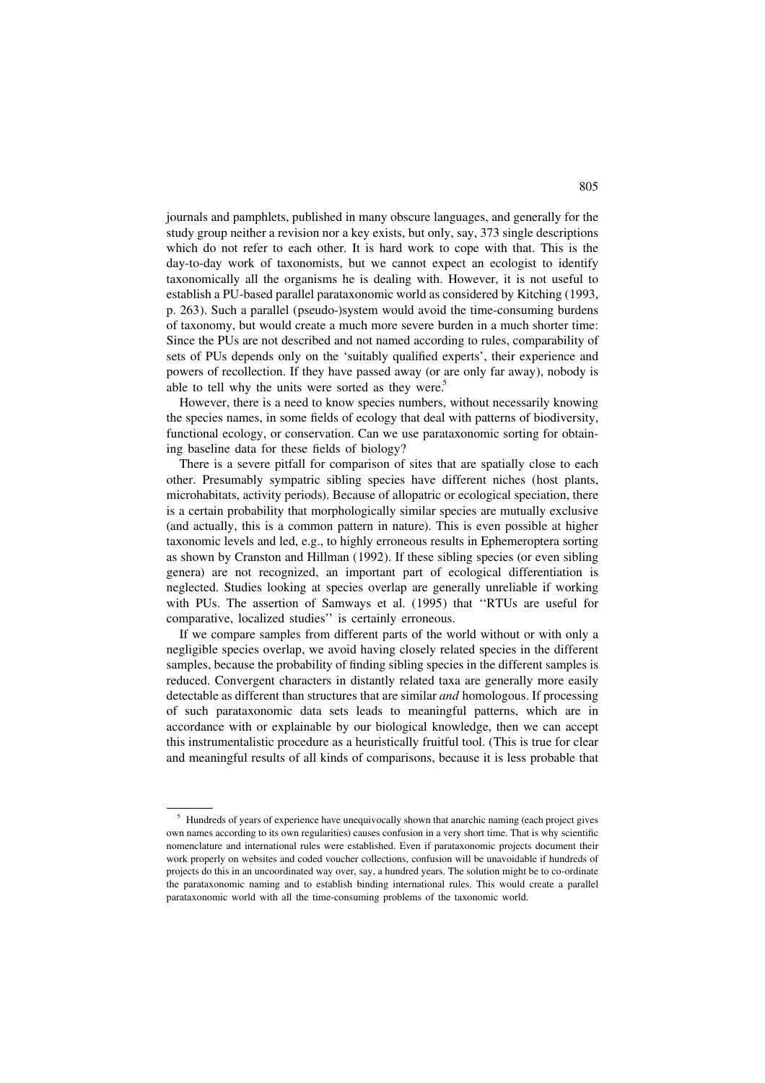journals and pamphlets, published in many obscure languages, and generally for the study group neither a revision nor a key exists, but only, say, 373 single descriptions which do not refer to each other. It is hard work to cope with that. This is the day-to-day work of taxonomists, but we cannot expect an ecologist to identify taxonomically all the organisms he is dealing with. However, it is not useful to establish a PU-based parallel parataxonomic world as considered by Kitching (1993, p. 263). Such a parallel (pseudo-)system would avoid the time-consuming burdens of taxonomy, but would create a much more severe burden in a much shorter time: Since the PUs are not described and not named according to rules, comparability of sets of PUs depends only on the 'suitably qualified experts', their experience and powers of recollection. If they have passed away (or are only far away), nobody is able to tell why the units were sorted as they were.

However, there is a need to know species numbers, without necessarily knowing the species names, in some fields of ecology that deal with patterns of biodiversity, functional ecology, or conservation. Can we use parataxonomic sorting for obtaining baseline data for these fields of biology?

There is a severe pitfall for comparison of sites that are spatially close to each other. Presumably sympatric sibling species have different niches (host plants, microhabitats, activity periods). Because of allopatric or ecological speciation, there is a certain probability that morphologically similar species are mutually exclusive (and actually, this is a common pattern in nature). This is even possible at higher taxonomic levels and led, e.g., to highly erroneous results in Ephemeroptera sorting as shown by Cranston and Hillman (1992). If these sibling species (or even sibling genera) are not recognized, an important part of ecological differentiation is neglected. Studies looking at species overlap are generally unreliable if working with PUs. The assertion of Samways et al. (1995) that ''RTUs are useful for comparative, localized studies'' is certainly erroneous.

If we compare samples from different parts of the world without or with only a negligible species overlap, we avoid having closely related species in the different samples, because the probability of finding sibling species in the different samples is reduced. Convergent characters in distantly related taxa are generally more easily detectable as different than structures that are similar *and* homologous. If processing of such parataxonomic data sets leads to meaningful patterns, which are in accordance with or explainable by our biological knowledge, then we can accept this instrumentalistic procedure as a heuristically fruitful tool. (This is true for clear and meaningful results of all kinds of comparisons, because it is less probable that

<sup>&</sup>lt;sup>5</sup> Hundreds of years of experience have unequivocally shown that anarchic naming (each project gives own names according to its own regularities) causes confusion in a very short time. That is why scientific nomenclature and international rules were established. Even if parataxonomic projects document their work properly on websites and coded voucher collections, confusion will be unavoidable if hundreds of projects do this in an uncoordinated way over, say, a hundred years. The solution might be to co-ordinate the parataxonomic naming and to establish binding international rules. This would create a parallel parataxonomic world with all the time-consuming problems of the taxonomic world.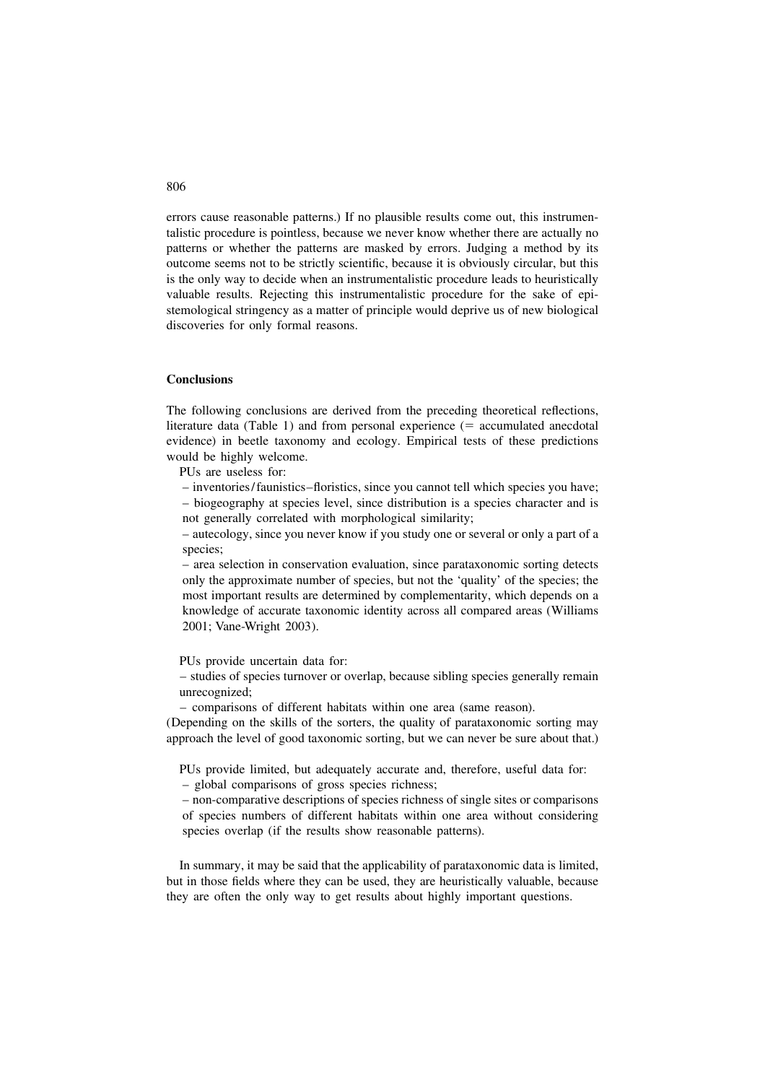errors cause reasonable patterns.) If no plausible results come out, this instrumentalistic procedure is pointless, because we never know whether there are actually no patterns or whether the patterns are masked by errors. Judging a method by its outcome seems not to be strictly scientific, because it is obviously circular, but this is the only way to decide when an instrumentalistic procedure leads to heuristically valuable results. Rejecting this instrumentalistic procedure for the sake of epistemological stringency as a matter of principle would deprive us of new biological discoveries for only formal reasons.

## **Conclusions**

The following conclusions are derived from the preceding theoretical reflections, literature data (Table 1) and from personal experience  $(=$  accumulated anecdotal evidence) in beetle taxonomy and ecology. Empirical tests of these predictions would be highly welcome.

PUs are useless for:

– inventories/faunistics–floristics, since you cannot tell which species you have; – biogeography at species level, since distribution is a species character and is not generally correlated with morphological similarity;

– autecology, since you never know if you study one or several or only a part of a species;

– area selection in conservation evaluation, since parataxonomic sorting detects only the approximate number of species, but not the 'quality' of the species; the most important results are determined by complementarity, which depends on a knowledge of accurate taxonomic identity across all compared areas (Williams 2001; Vane-Wright 2003).

PUs provide uncertain data for:

– studies of species turnover or overlap, because sibling species generally remain unrecognized;

– comparisons of different habitats within one area (same reason).

(Depending on the skills of the sorters, the quality of parataxonomic sorting may approach the level of good taxonomic sorting, but we can never be sure about that.)

PUs provide limited, but adequately accurate and, therefore, useful data for: – global comparisons of gross species richness;

– non-comparative descriptions of species richness of single sites or comparisons of species numbers of different habitats within one area without considering species overlap (if the results show reasonable patterns).

In summary, it may be said that the applicability of parataxonomic data is limited, but in those fields where they can be used, they are heuristically valuable, because they are often the only way to get results about highly important questions.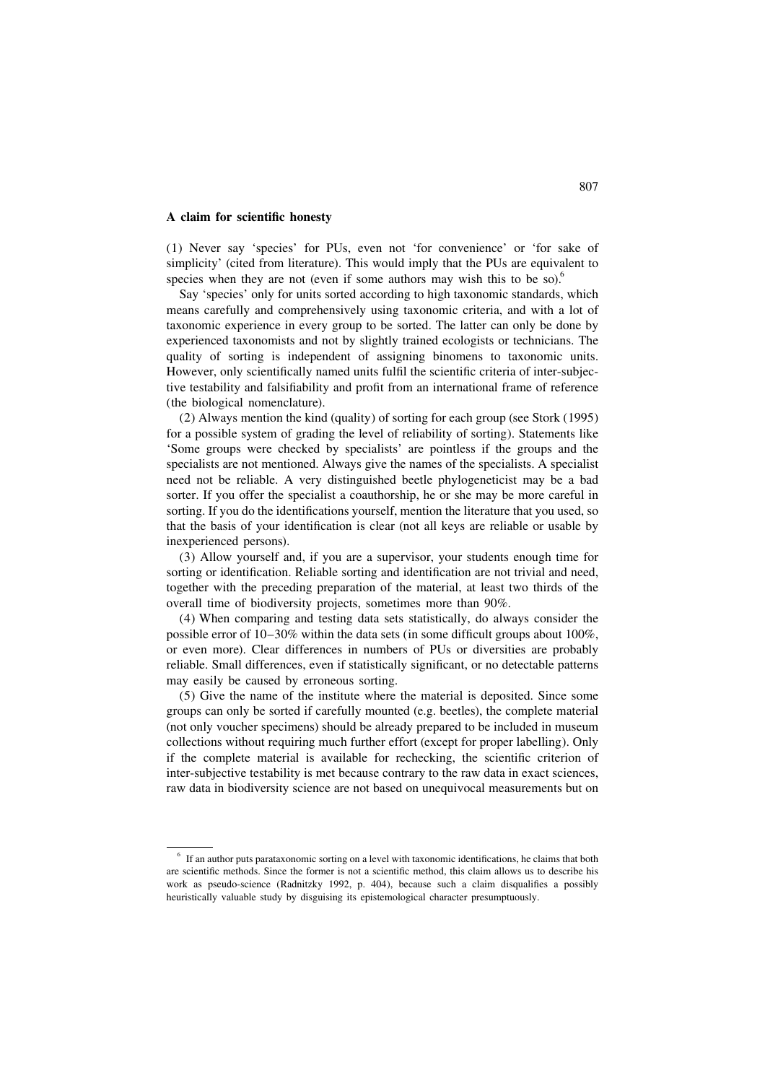## **A claim for scientific honesty**

(1) Never say 'species' for PUs, even not 'for convenience' or 'for sake of simplicity' (cited from literature). This would imply that the PUs are equivalent to species when they are not (even if some authors may wish this to be so).<sup>6</sup>

Say 'species' only for units sorted according to high taxonomic standards, which means carefully and comprehensively using taxonomic criteria, and with a lot of taxonomic experience in every group to be sorted. The latter can only be done by experienced taxonomists and not by slightly trained ecologists or technicians. The quality of sorting is independent of assigning binomens to taxonomic units. However, only scientifically named units fulfil the scientific criteria of inter-subjective testability and falsifiability and profit from an international frame of reference (the biological nomenclature).

(2) Always mention the kind (quality) of sorting for each group (see Stork (1995) for a possible system of grading the level of reliability of sorting). Statements like 'Some groups were checked by specialists' are pointless if the groups and the specialists are not mentioned. Always give the names of the specialists. A specialist need not be reliable. A very distinguished beetle phylogeneticist may be a bad sorter. If you offer the specialist a coauthorship, he or she may be more careful in sorting. If you do the identifications yourself, mention the literature that you used, so that the basis of your identification is clear (not all keys are reliable or usable by inexperienced persons).

(3) Allow yourself and, if you are a supervisor, your students enough time for sorting or identification. Reliable sorting and identification are not trivial and need, together with the preceding preparation of the material, at least two thirds of the overall time of biodiversity projects, sometimes more than 90%.

(4) When comparing and testing data sets statistically, do always consider the possible error of 10–30% within the data sets (in some difficult groups about 100%, or even more). Clear differences in numbers of PUs or diversities are probably reliable. Small differences, even if statistically significant, or no detectable patterns may easily be caused by erroneous sorting.

(5) Give the name of the institute where the material is deposited. Since some groups can only be sorted if carefully mounted (e.g. beetles), the complete material (not only voucher specimens) should be already prepared to be included in museum collections without requiring much further effort (except for proper labelling). Only if the complete material is available for rechecking, the scientific criterion of inter-subjective testability is met because contrary to the raw data in exact sciences, raw data in biodiversity science are not based on unequivocal measurements but on

<sup>6</sup> If an author puts parataxonomic sorting on a level with taxonomic identifications, he claims that both are scientific methods. Since the former is not a scientific method, this claim allows us to describe his work as pseudo-science (Radnitzky 1992, p. 404), because such a claim disqualifies a possibly heuristically valuable study by disguising its epistemological character presumptuously.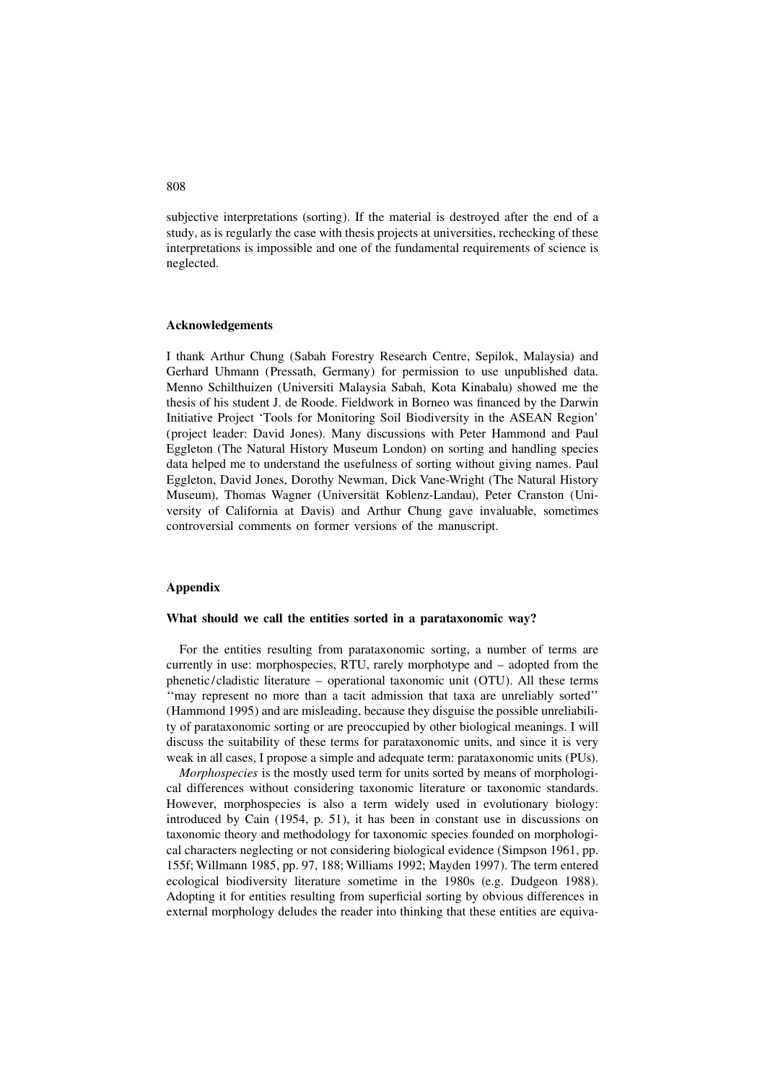subjective interpretations (sorting). If the material is destroyed after the end of a study, as is regularly the case with thesis projects at universities, rechecking of these interpretations is impossible and one of the fundamental requirements of science is neglected.

### **Acknowledgements**

I thank Arthur Chung (Sabah Forestry Research Centre, Sepilok, Malaysia) and Gerhard Uhmann (Pressath, Germany) for permission to use unpublished data. Menno Schilthuizen (Universiti Malaysia Sabah, Kota Kinabalu) showed me the thesis of his student J. de Roode. Fieldwork in Borneo was financed by the Darwin Initiative Project 'Tools for Monitoring Soil Biodiversity in the ASEAN Region' (project leader: David Jones). Many discussions with Peter Hammond and Paul Eggleton (The Natural History Museum London) on sorting and handling species data helped me to understand the usefulness of sorting without giving names. Paul Eggleton, David Jones, Dorothy Newman, Dick Vane-Wright (The Natural History Museum), Thomas Wagner (Universität Koblenz-Landau), Peter Cranston (University of California at Davis) and Arthur Chung gave invaluable, sometimes controversial comments on former versions of the manuscript.

## **Appendix**

## **What should we call the entities sorted in a parataxonomic way?**

For the entities resulting from parataxonomic sorting, a number of terms are currently in use: morphospecies, RTU, rarely morphotype and – adopted from the phenetic/cladistic literature – operational taxonomic unit (OTU). All these terms ''may represent no more than a tacit admission that taxa are unreliably sorted'' (Hammond 1995) and are misleading, because they disguise the possible unreliability of parataxonomic sorting or are preoccupied by other biological meanings. I will discuss the suitability of these terms for parataxonomic units, and since it is very weak in all cases, I propose a simple and adequate term: parataxonomic units (PUs).

*Morphospecies* is the mostly used term for units sorted by means of morphological differences without considering taxonomic literature or taxonomic standards. However, morphospecies is also a term widely used in evolutionary biology: introduced by Cain (1954, p. 51), it has been in constant use in discussions on taxonomic theory and methodology for taxonomic species founded on morphological characters neglecting or not considering biological evidence (Simpson 1961, pp. 155f; Willmann 1985, pp. 97, 188; Williams 1992; Mayden 1997). The term entered ecological biodiversity literature sometime in the 1980s (e.g. Dudgeon 1988). Adopting it for entities resulting from superficial sorting by obvious differences in external morphology deludes the reader into thinking that these entities are equiva-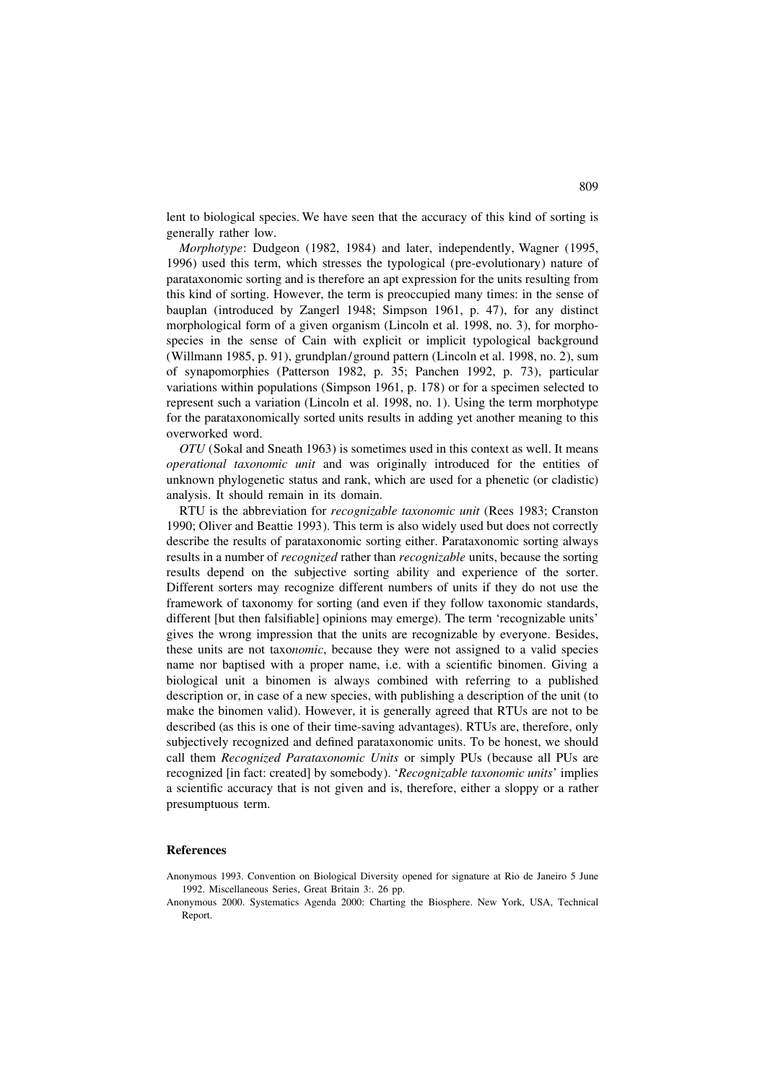lent to biological species. We have seen that the accuracy of this kind of sorting is generally rather low.

*Morphotype*: Dudgeon (1982, 1984) and later, independently, Wagner (1995, 1996) used this term, which stresses the typological (pre-evolutionary) nature of parataxonomic sorting and is therefore an apt expression for the units resulting from this kind of sorting. However, the term is preoccupied many times: in the sense of bauplan (introduced by Zangerl 1948; Simpson 1961, p. 47), for any distinct morphological form of a given organism (Lincoln et al. 1998, no. 3), for morphospecies in the sense of Cain with explicit or implicit typological background (Willmann 1985, p. 91), grundplan/ground pattern (Lincoln et al. 1998, no. 2), sum of synapomorphies (Patterson 1982, p. 35; Panchen 1992, p. 73), particular variations within populations (Simpson 1961, p. 178) or for a specimen selected to represent such a variation (Lincoln et al. 1998, no. 1). Using the term morphotype for the parataxonomically sorted units results in adding yet another meaning to this overworked word.

*OTU* (Sokal and Sneath 1963) is sometimes used in this context as well. It means *operational taxonomic unit* and was originally introduced for the entities of unknown phylogenetic status and rank, which are used for a phenetic (or cladistic) analysis. It should remain in its domain.

RTU is the abbreviation for *recognizable taxonomic unit* (Rees 1983; Cranston 1990; Oliver and Beattie 1993). This term is also widely used but does not correctly describe the results of parataxonomic sorting either. Parataxonomic sorting always results in a number of *recognized* rather than *recognizable* units, because the sorting results depend on the subjective sorting ability and experience of the sorter. Different sorters may recognize different numbers of units if they do not use the framework of taxonomy for sorting (and even if they follow taxonomic standards, different [but then falsifiable] opinions may emerge). The term 'recognizable units' gives the wrong impression that the units are recognizable by everyone. Besides, these units are not taxo*nomic*, because they were not assigned to a valid species name nor baptised with a proper name, i.e. with a scientific binomen. Giving a biological unit a binomen is always combined with referring to a published description or, in case of a new species, with publishing a description of the unit (to make the binomen valid). However, it is generally agreed that RTUs are not to be described (as this is one of their time-saving advantages). RTUs are, therefore, only subjectively recognized and defined parataxonomic units. To be honest, we should call them *Recognized Parataxonomic Units* or simply PUs (because all PUs are recognized [in fact: created] by somebody). '*Recognizable taxonomic units*' implies a scientific accuracy that is not given and is, therefore, either a sloppy or a rather presumptuous term.

## **References**

Anonymous 1993. Convention on Biological Diversity opened for signature at Rio de Janeiro 5 June 1992. Miscellaneous Series, Great Britain 3:. 26 pp.

Anonymous 2000. Systematics Agenda 2000: Charting the Biosphere. New York, USA, Technical Report.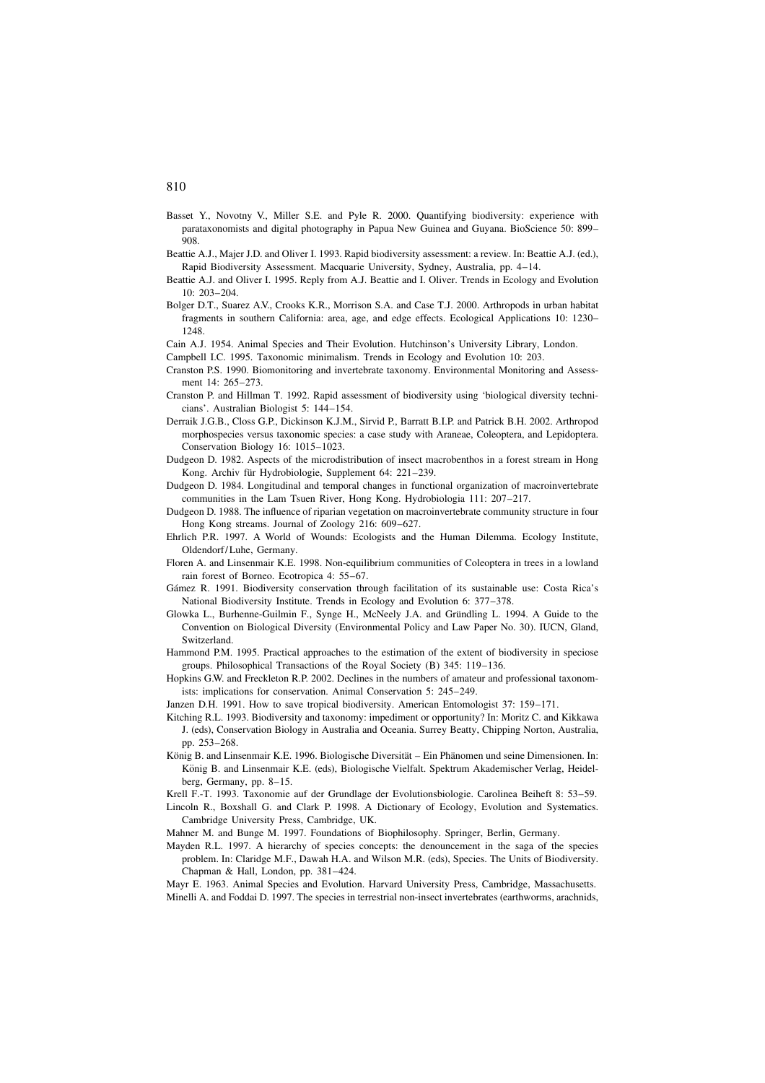- Basset Y., Novotny V., Miller S.E. and Pyle R. 2000. Quantifying biodiversity: experience with parataxonomists and digital photography in Papua New Guinea and Guyana. BioScience 50: 899– 908.
- Beattie A.J., Majer J.D. and Oliver I. 1993. Rapid biodiversity assessment: a review. In: Beattie A.J. (ed.), Rapid Biodiversity Assessment. Macquarie University, Sydney, Australia, pp. 4–14.
- Beattie A.J. and Oliver I. 1995. Reply from A.J. Beattie and I. Oliver. Trends in Ecology and Evolution  $10 \cdot 203 - 204$
- Bolger D.T., Suarez A.V., Crooks K.R., Morrison S.A. and Case T.J. 2000. Arthropods in urban habitat fragments in southern California: area, age, and edge effects. Ecological Applications 10: 1230– 1248.
- Cain A.J. 1954. Animal Species and Their Evolution. Hutchinson's University Library, London.
- Campbell I.C. 1995. Taxonomic minimalism. Trends in Ecology and Evolution 10: 203. Cranston P.S. 1990. Biomonitoring and invertebrate taxonomy. Environmental Monitoring and Assess-
- ment 14: 265–273. Cranston P. and Hillman T. 1992. Rapid assessment of biodiversity using 'biological diversity techni-
- cians'. Australian Biologist 5: 144–154. Derraik J.G.B., Closs G.P., Dickinson K.J.M., Sirvid P., Barratt B.I.P. and Patrick B.H. 2002. Arthropod
- morphospecies versus taxonomic species: a case study with Araneae, Coleoptera, and Lepidoptera. Conservation Biology 16: 1015–1023.
- Dudgeon D. 1982. Aspects of the microdistribution of insect macrobenthos in a forest stream in Hong Kong. Archiv für Hydrobiologie, Supplement 64: 221–239.
- Dudgeon D. 1984. Longitudinal and temporal changes in functional organization of macroinvertebrate communities in the Lam Tsuen River, Hong Kong. Hydrobiologia 111: 207–217.
- Dudgeon D. 1988. The influence of riparian vegetation on macroinvertebrate community structure in four Hong Kong streams. Journal of Zoology 216: 609–627.
- Ehrlich P.R. 1997. A World of Wounds: Ecologists and the Human Dilemma. Ecology Institute, Oldendorf/Luhe, Germany.
- Floren A. and Linsenmair K.E. 1998. Non-equilibrium communities of Coleoptera in trees in a lowland rain forest of Borneo. Ecotropica 4: 55–67.
- Gámez R. 1991. Biodiversity conservation through facilitation of its sustainable use: Costa Rica's National Biodiversity Institute. Trends in Ecology and Evolution 6: 377–378.
- Glowka L., Burhenne-Guilmin F., Synge H., McNeely J.A. and Gründling L. 1994. A Guide to the Convention on Biological Diversity (Environmental Policy and Law Paper No. 30). IUCN, Gland, Switzerland.
- Hammond P.M. 1995. Practical approaches to the estimation of the extent of biodiversity in speciose groups. Philosophical Transactions of the Royal Society (B) 345: 119–136.
- Hopkins G.W. and Freckleton R.P. 2002. Declines in the numbers of amateur and professional taxonomists: implications for conservation. Animal Conservation 5: 245–249.
- Janzen D.H. 1991. How to save tropical biodiversity. American Entomologist 37: 159–171.
- Kitching R.L. 1993. Biodiversity and taxonomy: impediment or opportunity? In: Moritz C. and Kikkawa J. (eds), Conservation Biology in Australia and Oceania. Surrey Beatty, Chipping Norton, Australia, pp. 253–268.
- König B. and Linsenmair K.E. 1996. Biologische Diversität Ein Phänomen und seine Dimensionen. In: König B. and Linsenmair K.E. (eds), Biologische Vielfalt. Spektrum Akademischer Verlag, Heidelberg, Germany, pp. 8–15.
- Krell F.-T. 1993. Taxonomie auf der Grundlage der Evolutionsbiologie. Carolinea Beiheft 8: 53–59.
- Lincoln R., Boxshall G. and Clark P. 1998. A Dictionary of Ecology, Evolution and Systematics. Cambridge University Press, Cambridge, UK.
- Mahner M. and Bunge M. 1997. Foundations of Biophilosophy. Springer, Berlin, Germany.
- Mayden R.L. 1997. A hierarchy of species concepts: the denouncement in the saga of the species problem. In: Claridge M.F., Dawah H.A. and Wilson M.R. (eds), Species. The Units of Biodiversity. Chapman & Hall, London, pp. 381–424.
- Mayr E. 1963. Animal Species and Evolution. Harvard University Press, Cambridge, Massachusetts. Minelli A. and Foddai D. 1997. The species in terrestrial non-insect invertebrates (earthworms, arachnids,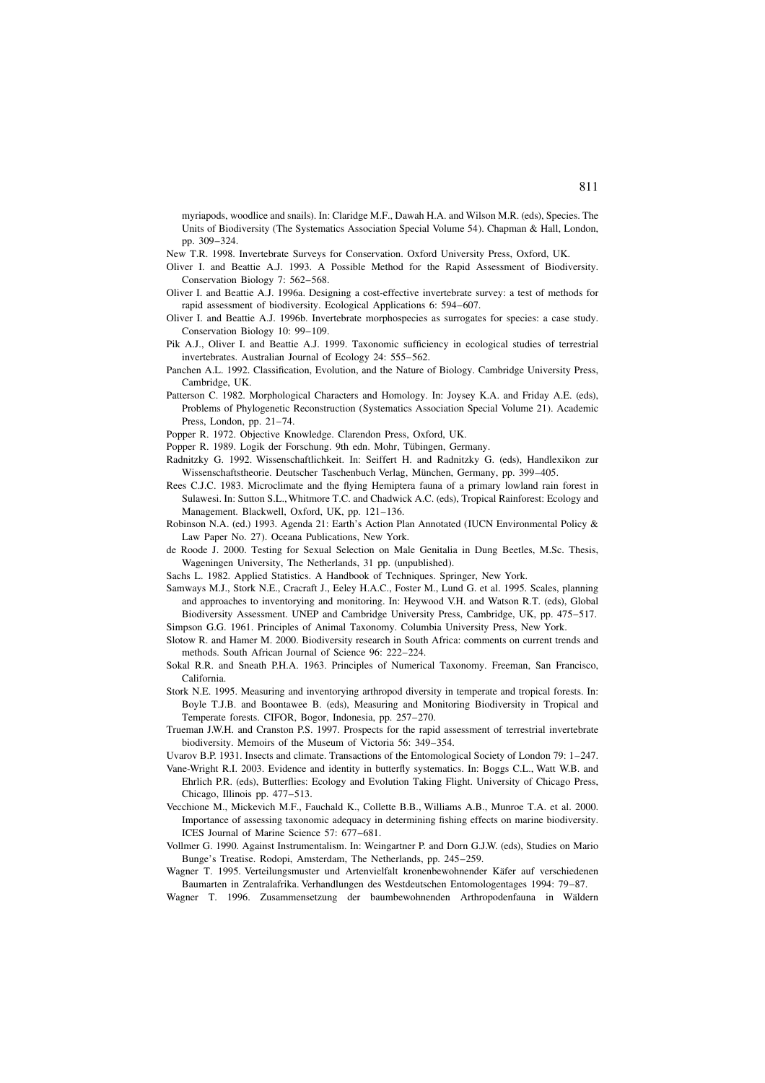myriapods, woodlice and snails). In: Claridge M.F., Dawah H.A. and Wilson M.R. (eds), Species. The Units of Biodiversity (The Systematics Association Special Volume 54). Chapman & Hall, London, pp. 309–324.

New T.R. 1998. Invertebrate Surveys for Conservation. Oxford University Press, Oxford, UK.

- Oliver I. and Beattie A.J. 1993. A Possible Method for the Rapid Assessment of Biodiversity. Conservation Biology 7: 562–568.
- Oliver I. and Beattie A.J. 1996a. Designing a cost-effective invertebrate survey: a test of methods for rapid assessment of biodiversity. Ecological Applications 6: 594–607.
- Oliver I. and Beattie A.J. 1996b. Invertebrate morphospecies as surrogates for species: a case study. Conservation Biology 10: 99–109.
- Pik A.J., Oliver I. and Beattie A.J. 1999. Taxonomic sufficiency in ecological studies of terrestrial invertebrates. Australian Journal of Ecology 24: 555–562.
- Panchen A.L. 1992. Classification, Evolution, and the Nature of Biology. Cambridge University Press, Cambridge, UK.
- Patterson C. 1982. Morphological Characters and Homology. In: Joysey K.A. and Friday A.E. (eds), Problems of Phylogenetic Reconstruction (Systematics Association Special Volume 21). Academic Press, London, pp. 21–74.
- Popper R. 1972. Objective Knowledge. Clarendon Press, Oxford, UK.
- Popper R. 1989. Logik der Forschung. 9th edn. Mohr, Tübingen, Germany.
- Radnitzky G. 1992. Wissenschaftlichkeit. In: Seiffert H. and Radnitzky G. (eds), Handlexikon zur Wissenschaftstheorie. Deutscher Taschenbuch Verlag, München, Germany, pp. 399–405.
- Rees C.J.C. 1983. Microclimate and the flying Hemiptera fauna of a primary lowland rain forest in Sulawesi. In: Sutton S.L., Whitmore T.C. and Chadwick A.C. (eds), Tropical Rainforest: Ecology and Management. Blackwell, Oxford, UK, pp. 121–136.
- Robinson N.A. (ed.) 1993. Agenda 21: Earth's Action Plan Annotated (IUCN Environmental Policy & Law Paper No. 27). Oceana Publications, New York.
- de Roode J. 2000. Testing for Sexual Selection on Male Genitalia in Dung Beetles, M.Sc. Thesis, Wageningen University, The Netherlands, 31 pp. (unpublished).
- Sachs L. 1982. Applied Statistics. A Handbook of Techniques. Springer, New York.
- Samways M.J., Stork N.E., Cracraft J., Eeley H.A.C., Foster M., Lund G. et al. 1995. Scales, planning and approaches to inventorying and monitoring. In: Heywood V.H. and Watson R.T. (eds), Global Biodiversity Assessment. UNEP and Cambridge University Press, Cambridge, UK, pp. 475–517. Simpson G.G. 1961. Principles of Animal Taxonomy. Columbia University Press, New York.
- Slotow R. and Hamer M. 2000. Biodiversity research in South Africa: comments on current trends and methods. South African Journal of Science 96: 222–224.
- Sokal R.R. and Sneath P.H.A. 1963. Principles of Numerical Taxonomy. Freeman, San Francisco, California.
- Stork N.E. 1995. Measuring and inventorying arthropod diversity in temperate and tropical forests. In: Boyle T.J.B. and Boontawee B. (eds), Measuring and Monitoring Biodiversity in Tropical and Temperate forests. CIFOR, Bogor, Indonesia, pp. 257–270.
- Trueman J.W.H. and Cranston P.S. 1997. Prospects for the rapid assessment of terrestrial invertebrate biodiversity. Memoirs of the Museum of Victoria 56: 349–354.
- Uvarov B.P. 1931. Insects and climate. Transactions of the Entomological Society of London 79: 1–247.
- Vane-Wright R.I. 2003. Evidence and identity in butterfly systematics. In: Boggs C.L., Watt W.B. and Ehrlich P.R. (eds), Butterflies: Ecology and Evolution Taking Flight. University of Chicago Press, Chicago, Illinois pp. 477–513.
- Vecchione M., Mickevich M.F., Fauchald K., Collette B.B., Williams A.B., Munroe T.A. et al. 2000. Importance of assessing taxonomic adequacy in determining fishing effects on marine biodiversity. ICES Journal of Marine Science 57: 677–681.
- Vollmer G. 1990. Against Instrumentalism. In: Weingartner P. and Dorn G.J.W. (eds), Studies on Mario Bunge's Treatise. Rodopi, Amsterdam, The Netherlands, pp. 245–259.
- Wagner T. 1995. Verteilungsmuster und Artenvielfalt kronenbewohnender Käfer auf verschiedenen Baumarten in Zentralafrika. Verhandlungen des Westdeutschen Entomologentages 1994: 79–87.
- Wagner T. 1996. Zusammensetzung der baumbewohnenden Arthropodenfauna in Wäldern